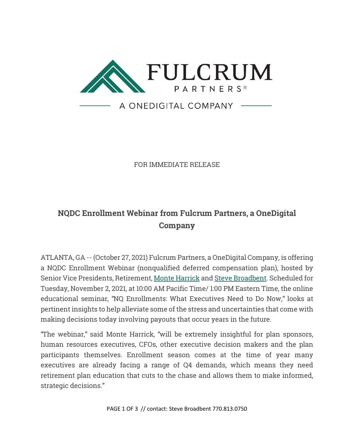

FOR IMMEDIATE RELEASE

## **NQDC Enrollment Webinar from Fulcrum Partners, a OneDigital Company**

ATLANTA, GA -- (October 27, 2021) Fulcrum Partners, a OneDigital Company, is offering a NQDC Enrollment Webinar (nonqualified deferred compensation plan), hosted by Senior Vice Presidents, Retirement, [Monte Harrick](https://www.fulcrumpartnersllc.com/team/monte-harrick/) and [Steve Broadbent.](https://www.fulcrumpartnersllc.com/team/steve-broadbent/) Scheduled for Tuesday, November 2, 2021, at 10:00 AM Pacific Time/ 1:00 PM Eastern Time, the online educational seminar, "NQ Enrollments: What Executives Need to Do Now," looks at pertinent insights to help alleviate some of the stress and uncertainties that come with making decisions today involving payouts that occur years in the future.

"The webinar," said Monte Harrick, "will be extremely insightful for plan sponsors, human resources executives, CFOs, other executive decision makers and the plan participants themselves. Enrollment season comes at the time of year many executives are already facing a range of Q4 demands, which means they need retirement plan education that cuts to the chase and allows them to make informed, strategic decisions."

PAGE 1 OF 3 // contact: Steve Broadbent 770.813.0750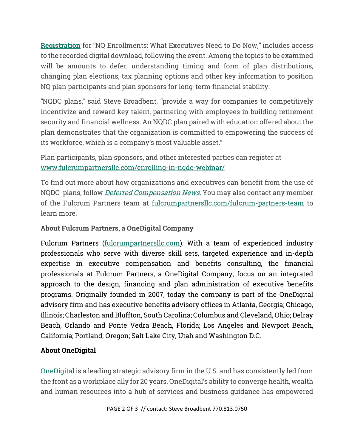**[Registration](https://www.fulcrumpartnersllc.com/enrolling-in-nqdc-webinar/)** for "NQ Enrollments: What Executives Need to Do Now," includes access to the recorded digital download, following the event. Among the topics to be examined will be amounts to defer, understanding timing and form of plan distributions, changing plan elections, tax planning options and other key information to position NQ plan participants and plan sponsors for long-term financial stability.

"NQDC plans," said Steve Broadbent, "provide a way for companies to competitively incentivize and reward key talent, partnering with employees in building retirement security and financial wellness. An NQDC plan paired with education offered about the plan demonstrates that the organization is committed to empowering the success of its workforce, which is a company's most valuable asset."

Plan participants, plan sponsors, and other interested parties can register at [www.fulcrumpartnersllc.com/enrolling-in-nqdc-webinar/](https://www.fulcrumpartnersllc.com/enrolling-in-nqdc-webinar/)

To find out more about how organizations and executives can benefit from the use of NQDC plans, follow *Deferred Compensation News*. You may also contact any member of the Fulcrum Partners team at [fulcrumpartnersllc.com/fulcrum-partners-team](https://www.fulcrumpartnersllc.com/fulcrum-partners-team/) to learn more.

## **About Fulcrum Partners, a OneDigital Company**

Fulcrum Partners [\(fulcrumpartnersllc.com\)](https://www.fulcrumpartnersllc.com/). With a team of experienced industry professionals who serve with diverse skill sets, targeted experience and in-depth expertise in executive compensation and benefits consulting, the financial professionals at Fulcrum Partners, a OneDigital Company, focus on an integrated approach to the design, financing and plan administration of executive benefits programs. Originally founded in 2007, today the company is part of the OneDigital advisory firm and has executive benefits advisory offices in Atlanta, Georgia; Chicago, Illinois; Charleston and Bluffton, South Carolina; Columbus and Cleveland, Ohio; Delray Beach, Orlando and Ponte Vedra Beach, Florida; Los Angeles and Newport Beach, California; Portland, Oregon; Salt Lake City, Utah and Washington D.C.

## **About OneDigital**

[OneDigital](https://www.onedigital.com/) is a leading strategic advisory firm in the U.S. and has consistently led from the front as a workplace ally for 20 years. OneDigital's ability to converge health, wealth and human resources into a hub of services and business guidance has empowered